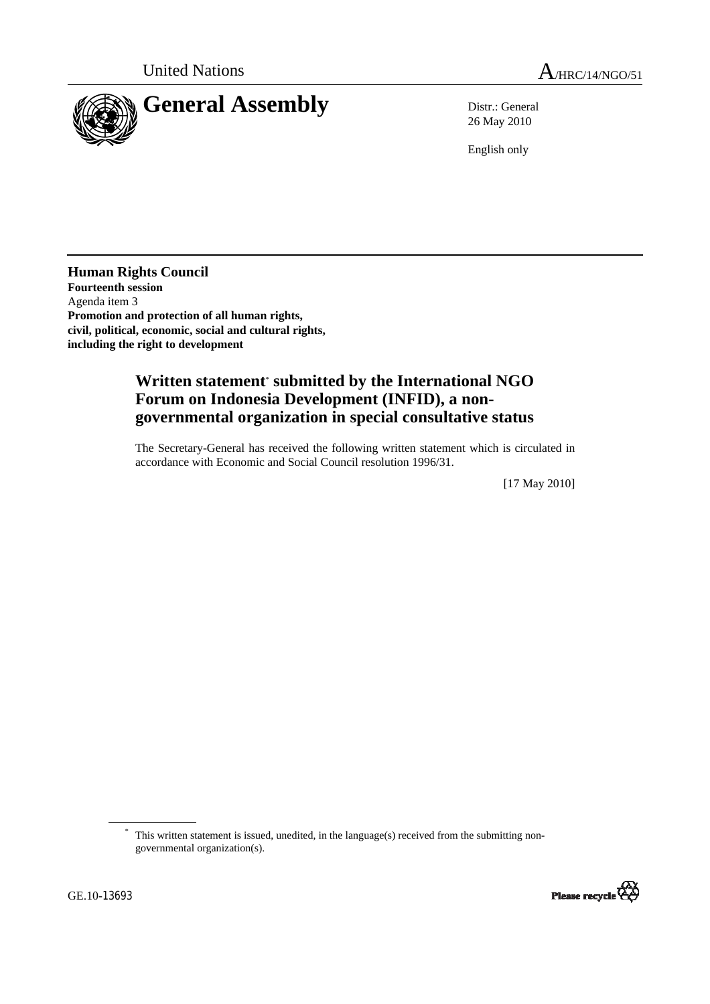

26 May 2010

English only

**Human Rights Council Fourteenth session**  Agenda item 3 **Promotion and protection of all human rights, civil, political, economic, social and cultural rights, including the right to development** 

# **Written statement**\*  **submitted by the International NGO Forum on Indonesia Development (INFID), a nongovernmental organization in special consultative status**

The Secretary-General has received the following written statement which is circulated in accordance with Economic and Social Council resolution 1996/31.

[17 May 2010]

\* This written statement is issued, unedited, in the language(s) received from the submitting nongovernmental organization(s).

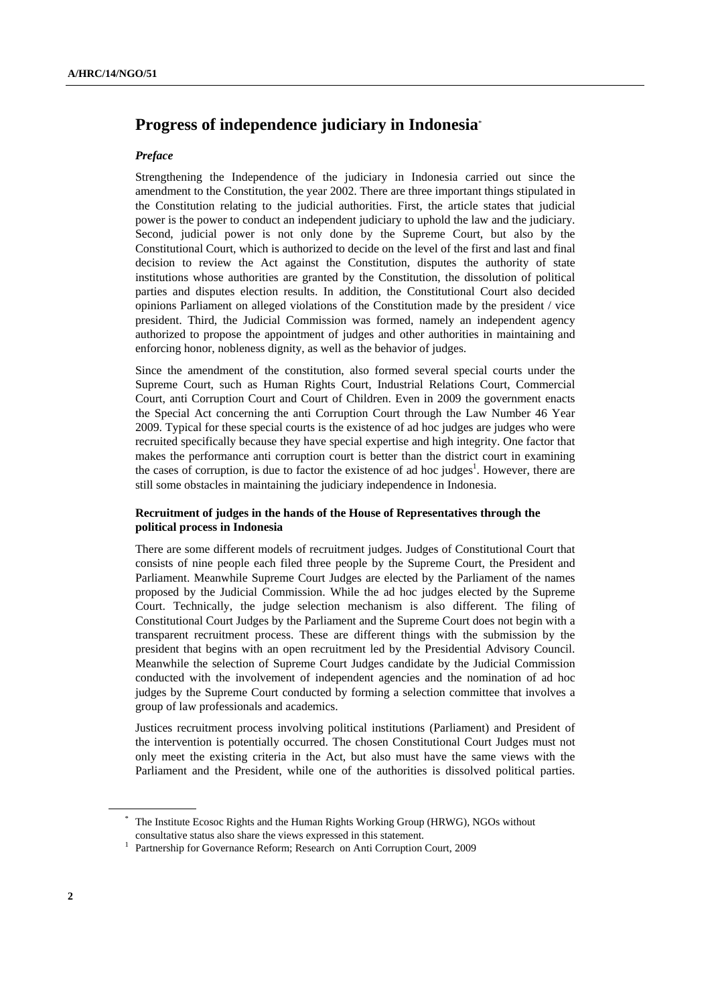## **Progress of independence judiciary in Indonesia**\*

#### *Preface*

Strengthening the Independence of the judiciary in Indonesia carried out since the amendment to the Constitution, the year 2002. There are three important things stipulated in the Constitution relating to the judicial authorities. First, the article states that judicial power is the power to conduct an independent judiciary to uphold the law and the judiciary. Second, judicial power is not only done by the Supreme Court, but also by the Constitutional Court, which is authorized to decide on the level of the first and last and final decision to review the Act against the Constitution, disputes the authority of state institutions whose authorities are granted by the Constitution, the dissolution of political parties and disputes election results. In addition, the Constitutional Court also decided opinions Parliament on alleged violations of the Constitution made by the president / vice president. Third, the Judicial Commission was formed, namely an independent agency authorized to propose the appointment of judges and other authorities in maintaining and enforcing honor, nobleness dignity, as well as the behavior of judges.

Since the amendment of the constitution, also formed several special courts under the Supreme Court, such as Human Rights Court, Industrial Relations Court, Commercial Court, anti Corruption Court and Court of Children. Even in 2009 the government enacts the Special Act concerning the anti Corruption Court through the Law Number 46 Year 2009. Typical for these special courts is the existence of ad hoc judges are judges who were recruited specifically because they have special expertise and high integrity. One factor that makes the performance anti corruption court is better than the district court in examining the cases of corruption, is due to factor the existence of ad hoc judges<sup>1</sup>. However, there are still some obstacles in maintaining the judiciary independence in Indonesia.

#### **Recruitment of judges in the hands of the House of Representatives through the political process in Indonesia**

There are some different models of recruitment judges. Judges of Constitutional Court that consists of nine people each filed three people by the Supreme Court, the President and Parliament. Meanwhile Supreme Court Judges are elected by the Parliament of the names proposed by the Judicial Commission. While the ad hoc judges elected by the Supreme Court. Technically, the judge selection mechanism is also different. The filing of Constitutional Court Judges by the Parliament and the Supreme Court does not begin with a transparent recruitment process. These are different things with the submission by the president that begins with an open recruitment led by the Presidential Advisory Council. Meanwhile the selection of Supreme Court Judges candidate by the Judicial Commission conducted with the involvement of independent agencies and the nomination of ad hoc judges by the Supreme Court conducted by forming a selection committee that involves a group of law professionals and academics.

Justices recruitment process involving political institutions (Parliament) and President of the intervention is potentially occurred. The chosen Constitutional Court Judges must not only meet the existing criteria in the Act, but also must have the same views with the Parliament and the President, while one of the authorities is dissolved political parties.

<sup>\*</sup> The Institute Ecosoc Rights and the Human Rights Working Group (HRWG), NGOs without consultative status also share the views expressed in this statement.

<sup>&</sup>lt;sup>1</sup> Partnership for Governance Reform; Research on Anti Corruption Court, 2009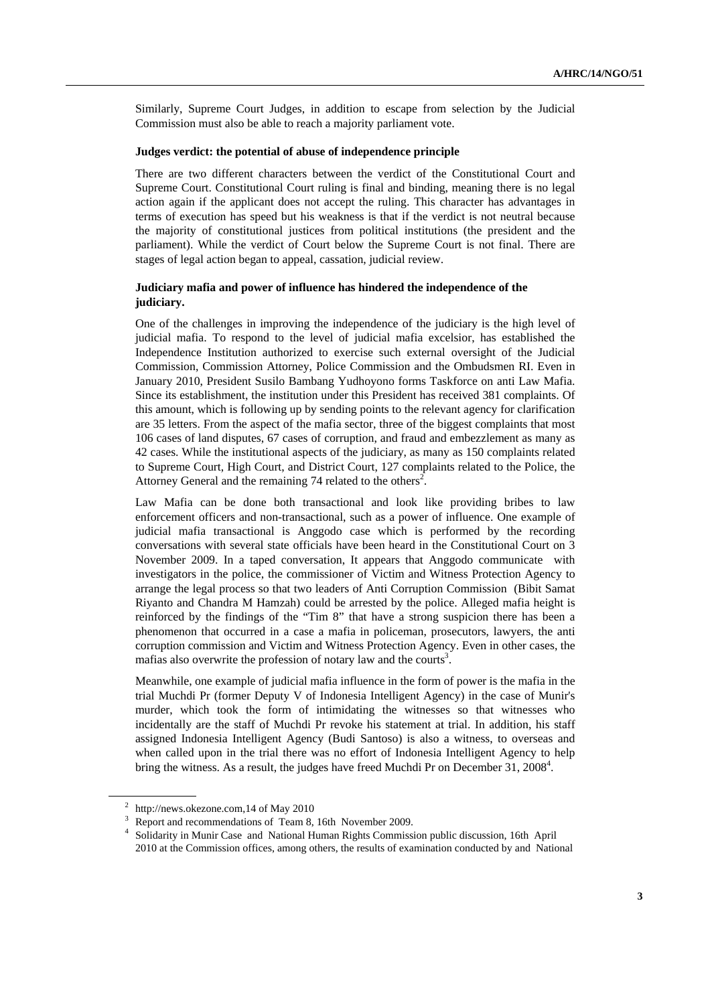Similarly, Supreme Court Judges, in addition to escape from selection by the Judicial Commission must also be able to reach a majority parliament vote.

### **Judges verdict: the potential of abuse of independence principle**

There are two different characters between the verdict of the Constitutional Court and Supreme Court. Constitutional Court ruling is final and binding, meaning there is no legal action again if the applicant does not accept the ruling. This character has advantages in terms of execution has speed but his weakness is that if the verdict is not neutral because the majority of constitutional justices from political institutions (the president and the parliament). While the verdict of Court below the Supreme Court is not final. There are stages of legal action began to appeal, cassation, judicial review.

#### **Judiciary mafia and power of influence has hindered the independence of the judiciary.**

One of the challenges in improving the independence of the judiciary is the high level of judicial mafia. To respond to the level of judicial mafia excelsior, has established the Independence Institution authorized to exercise such external oversight of the Judicial Commission, Commission Attorney, Police Commission and the Ombudsmen RI. Even in January 2010, President Susilo Bambang Yudhoyono forms Taskforce on anti Law Mafia. Since its establishment, the institution under this President has received 381 complaints. Of this amount, which is following up by sending points to the relevant agency for clarification are 35 letters. From the aspect of the mafia sector, three of the biggest complaints that most 106 cases of land disputes, 67 cases of corruption, and fraud and embezzlement as many as 42 cases. While the institutional aspects of the judiciary, as many as 150 complaints related to Supreme Court, High Court, and District Court, 127 complaints related to the Police, the Attorney General and the remaining 74 related to the others<sup>2</sup>.

Law Mafia can be done both transactional and look like providing bribes to law enforcement officers and non-transactional, such as a power of influence. One example of judicial mafia transactional is Anggodo case which is performed by the recording conversations with several state officials have been heard in the Constitutional Court on 3 November 2009. In a taped conversation, It appears that Anggodo communicate with investigators in the police, the commissioner of Victim and Witness Protection Agency to arrange the legal process so that two leaders of Anti Corruption Commission (Bibit Samat Riyanto and Chandra M Hamzah) could be arrested by the police. Alleged mafia height is reinforced by the findings of the "Tim 8" that have a strong suspicion there has been a phenomenon that occurred in a case a mafia in policeman, prosecutors, lawyers, the anti corruption commission and Victim and Witness Protection Agency. Even in other cases, the mafias also overwrite the profession of notary law and the courts<sup>3</sup>.

Meanwhile, one example of judicial mafia influence in the form of power is the mafia in the trial Muchdi Pr (former Deputy V of Indonesia Intelligent Agency) in the case of Munir's murder, which took the form of intimidating the witnesses so that witnesses who incidentally are the staff of Muchdi Pr revoke his statement at trial. In addition, his staff assigned Indonesia Intelligent Agency (Budi Santoso) is also a witness, to overseas and when called upon in the trial there was no effort of Indonesia Intelligent Agency to help bring the witness. As a result, the judges have freed Muchdi Pr on December 31,  $2008<sup>4</sup>$ .

<sup>&</sup>lt;sup>2</sup> http://news.okezone.com,14 of May 2010

 $\frac{3}{4}$  Report and recommendations of Team 8, 16th November 2009.

<sup>&</sup>lt;sup>4</sup> Solidarity in Munir Case and National Human Rights Commission public discussion, 16th April 2010 at the Commission offices, among others, the results of examination conducted by and National